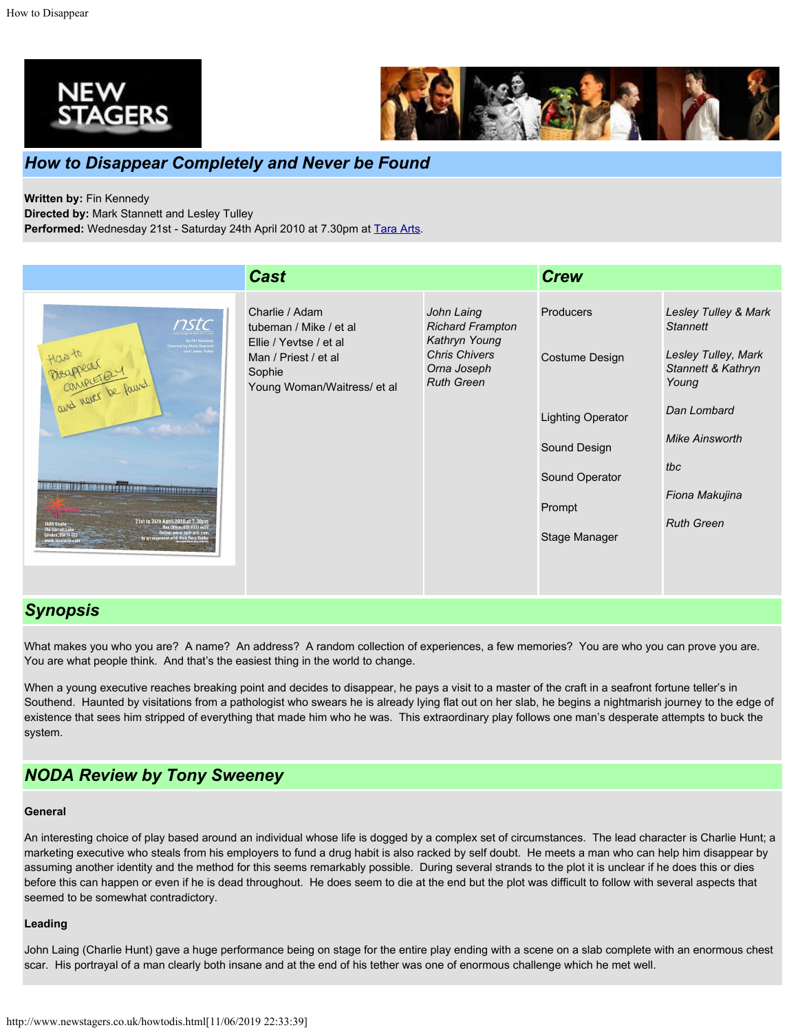



## *How to Disappear Completely and Never be Found*

**Written by:** Fin Kennedy

**Directed by:** Mark Stannett and Lesley Tulley

Performed: Wednesday 21st - Saturday 24th April 2010 at 7.30pm at [Tara Arts](http://www.tara-arts.com/).

|                                                                                                                                                                                                                                                       | <b>Cast</b>                                                                                                                         |                                                                                                                    | <b>Crew</b>                                                                                                          |                                                                                                                                                                                     |
|-------------------------------------------------------------------------------------------------------------------------------------------------------------------------------------------------------------------------------------------------------|-------------------------------------------------------------------------------------------------------------------------------------|--------------------------------------------------------------------------------------------------------------------|----------------------------------------------------------------------------------------------------------------------|-------------------------------------------------------------------------------------------------------------------------------------------------------------------------------------|
| nstc<br>ed by Mark Stannet<br>and Lesley Tulley<br>tice to<br>Deagrear<br>Carrer be found<br>21st to 24th April 2010 at 7.30pm<br><b>TARA Studio</b><br>Box Office: 020 8333 4451<br>Online: www.tara-arts.com<br>by arrangement with Nick Hern Books | Charlie / Adam<br>tubeman / Mike / et al<br>Ellie / Yevtse / et al<br>Man / Priest / et al<br>Sophie<br>Young Woman/Waitress/ et al | John Laing<br><b>Richard Frampton</b><br>Kathryn Young<br><b>Chris Chivers</b><br>Orna Joseph<br><b>Ruth Green</b> | Producers<br>Costume Design<br><b>Lighting Operator</b><br>Sound Design<br>Sound Operator<br>Prompt<br>Stage Manager | Lesley Tulley & Mark<br><b>Stannett</b><br>Lesley Tulley, Mark<br>Stannett & Kathryn<br>Young<br>Dan Lombard<br><b>Mike Ainsworth</b><br>tbc<br>Fiona Makujina<br><b>Ruth Green</b> |
|                                                                                                                                                                                                                                                       |                                                                                                                                     |                                                                                                                    |                                                                                                                      |                                                                                                                                                                                     |

# *Synopsis*

What makes you who you are? A name? An address? A random collection of experiences, a few memories? You are who you can prove you are. You are what people think. And that's the easiest thing in the world to change.

When a young executive reaches breaking point and decides to disappear, he pays a visit to a master of the craft in a seafront fortune teller's in Southend. Haunted by visitations from a pathologist who swears he is already lying flat out on her slab, he begins a nightmarish journey to the edge of existence that sees him stripped of everything that made him who he was. This extraordinary play follows one man's desperate attempts to buck the system.

### *NODA Review by Tony Sweeney*

#### **General**

An interesting choice of play based around an individual whose life is dogged by a complex set of circumstances. The lead character is Charlie Hunt; a marketing executive who steals from his employers to fund a drug habit is also racked by self doubt. He meets a man who can help him disappear by assuming another identity and the method for this seems remarkably possible. During several strands to the plot it is unclear if he does this or dies before this can happen or even if he is dead throughout. He does seem to die at the end but the plot was difficult to follow with several aspects that seemed to be somewhat contradictory.

#### **Leading**

John Laing (Charlie Hunt) gave a huge performance being on stage for the entire play ending with a scene on a slab complete with an enormous chest scar. His portrayal of a man clearly both insane and at the end of his tether was one of enormous challenge which he met well.